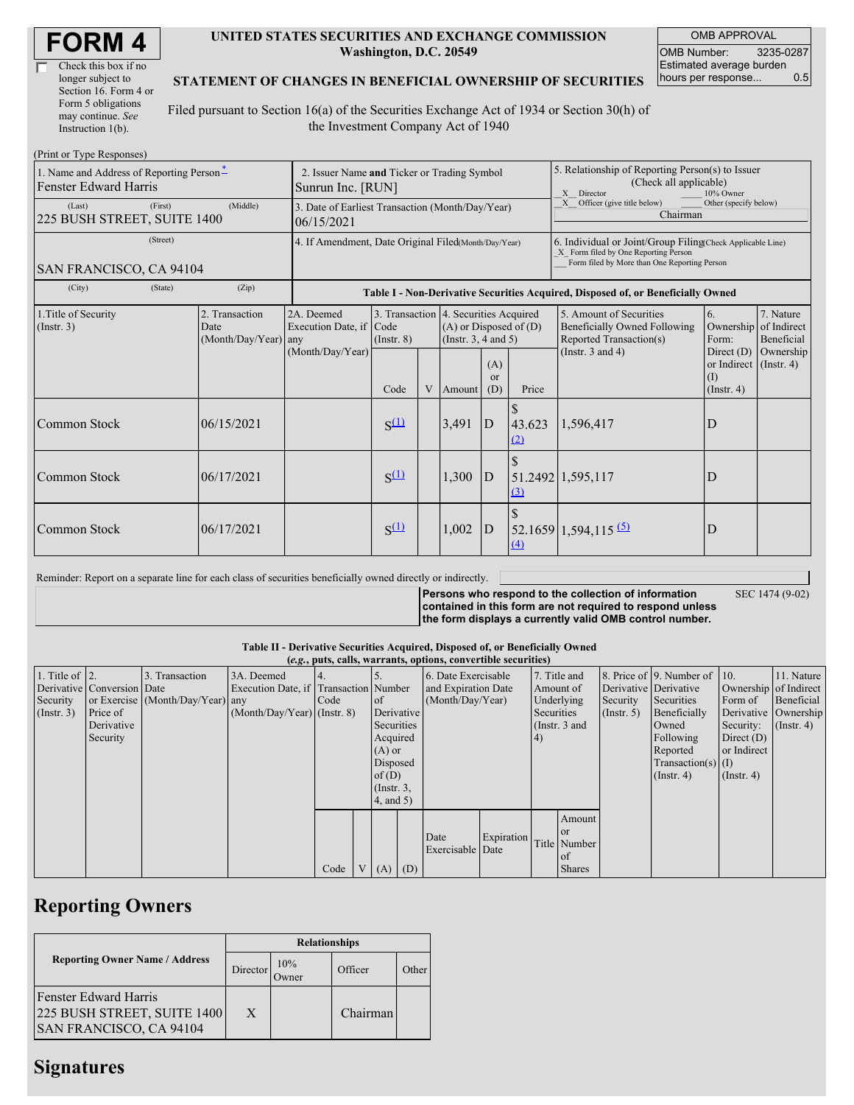| Check this box if no  |
|-----------------------|
| longer subject to     |
| Section 16. Form 4 or |
| Form 5 obligations    |
| may continue. See     |
| Instruction $1(b)$ .  |

#### **UNITED STATES SECURITIES AND EXCHANGE COMMISSION Washington, D.C. 20549**

OMB APPROVAL OMB Number: 3235-0287 Estimated average burden hours per response... 0.5

## **STATEMENT OF CHANGES IN BENEFICIAL OWNERSHIP OF SECURITIES**

Filed pursuant to Section 16(a) of the Securities Exchange Act of 1934 or Section 30(h) of the Investment Company Act of 1940

| (Print or Type Responses)                                                |                                                                  |                                       |                                                                                  |  |                                                                                             |                             |                                                                                                                                                    |                                                                                           |                                                                   |                         |  |
|--------------------------------------------------------------------------|------------------------------------------------------------------|---------------------------------------|----------------------------------------------------------------------------------|--|---------------------------------------------------------------------------------------------|-----------------------------|----------------------------------------------------------------------------------------------------------------------------------------------------|-------------------------------------------------------------------------------------------|-------------------------------------------------------------------|-------------------------|--|
| 1. Name and Address of Reporting Person-<br><b>Fenster Edward Harris</b> | 2. Issuer Name and Ticker or Trading Symbol<br>Sunrun Inc. [RUN] |                                       |                                                                                  |  |                                                                                             |                             | 5. Relationship of Reporting Person(s) to Issuer<br>(Check all applicable)<br>X Director<br>10% Owner                                              |                                                                                           |                                                                   |                         |  |
| (Last)<br>(First)<br>225 BUSH STREET, SUITE 1400                         | 3. Date of Earliest Transaction (Month/Day/Year)<br>06/15/2021   |                                       |                                                                                  |  |                                                                                             |                             | Officer (give title below)<br>Other (specify below)<br>X<br>Chairman                                                                               |                                                                                           |                                                                   |                         |  |
| (Street)<br>SAN FRANCISCO, CA 94104                                      | 4. If Amendment, Date Original Filed(Month/Day/Year)             |                                       |                                                                                  |  |                                                                                             |                             | 6. Individual or Joint/Group Filing(Check Applicable Line)<br>X Form filed by One Reporting Person<br>Form filed by More than One Reporting Person |                                                                                           |                                                                   |                         |  |
| (City)<br>(State)                                                        | (Zip)                                                            |                                       | Table I - Non-Derivative Securities Acquired, Disposed of, or Beneficially Owned |  |                                                                                             |                             |                                                                                                                                                    |                                                                                           |                                                                   |                         |  |
| 1. Title of Security<br>$($ Instr. 3 $)$                                 | 2. Transaction<br>Date<br>(Month/Day/Year) any                   | 2A. Deemed<br>Execution Date, if Code | $($ Instr. $8)$                                                                  |  | 3. Transaction 4. Securities Acquired<br>$(A)$ or Disposed of $(D)$<br>(Insert. 3, 4 and 5) |                             |                                                                                                                                                    | 5. Amount of Securities<br><b>Beneficially Owned Following</b><br>Reported Transaction(s) | 6.<br>Ownership of Indirect<br>Form:                              | 7. Nature<br>Beneficial |  |
|                                                                          |                                                                  | (Month/Day/Year)                      | Code                                                                             |  | V Amount                                                                                    | (A)<br><sub>or</sub><br>(D) | Price                                                                                                                                              | (Instr. $3$ and $4$ )                                                                     | Direct $(D)$<br>or Indirect (Instr. 4)<br>(1)<br>$($ Instr. 4 $)$ | Ownership               |  |
| Common Stock                                                             | 06/15/2021                                                       |                                       | $S^{(1)}$                                                                        |  | 3,491                                                                                       | $\overline{D}$              | 43.623<br>(2)                                                                                                                                      | 1,596,417                                                                                 | D                                                                 |                         |  |
| Common Stock                                                             | 06/17/2021                                                       |                                       | $S^{(1)}$                                                                        |  | 1,300                                                                                       | D                           | (3)                                                                                                                                                | 51.2492 1,595,117                                                                         | D                                                                 |                         |  |
| Common Stock                                                             | 06/17/2021                                                       |                                       | $S^{(1)}$                                                                        |  | 1,002                                                                                       | $\overline{D}$              | (4)                                                                                                                                                | $52.1659 \mid 1,594,115 \mid 5$                                                           | D                                                                 |                         |  |

Reminder: Report on a separate line for each class of securities beneficially owned directly or indirectly.

**Persons who respond to the collection of information contained in this form are not required to respond unless the form displays a currently valid OMB control number.** SEC 1474 (9-02)

### **Table II - Derivative Securities Acquired, Disposed of, or Beneficially Owned**

| (e.g., puts, calls, warrants, options, convertible securities) |                            |                                  |                                       |      |  |                 |                     |                     |                        |           |                  |                       |                              |                      |            |
|----------------------------------------------------------------|----------------------------|----------------------------------|---------------------------------------|------|--|-----------------|---------------------|---------------------|------------------------|-----------|------------------|-----------------------|------------------------------|----------------------|------------|
| 1. Title of $\vert$ 2.                                         |                            | 3. Transaction                   | 3A. Deemed                            |      |  |                 |                     | 6. Date Exercisable |                        |           | 7. Title and     |                       | 8. Price of 9. Number of 10. |                      | 11. Nature |
|                                                                | Derivative Conversion Date |                                  | Execution Date, if Transaction Number |      |  |                 | and Expiration Date |                     |                        | Amount of |                  | Derivative Derivative | Ownership of Indirect        |                      |            |
| Security                                                       |                            | or Exercise (Month/Day/Year) any |                                       | Code |  | of              | (Month/Day/Year)    |                     | Underlying<br>Security |           |                  | Securities            | Form of                      | Beneficial           |            |
| $($ Instr. 3 $)$                                               | Price of                   |                                  | $(Month/Day/Year)$ (Instr. 8)         |      |  |                 | Derivative          |                     | Securities             |           | $($ Instr. 5 $)$ | Beneficially          |                              | Derivative Ownership |            |
|                                                                | Derivative                 |                                  |                                       |      |  |                 | Securities          |                     | (Instr. 3 and          |           |                  | Owned                 | Security:                    | $($ Instr. 4)        |            |
|                                                                | Security                   |                                  |                                       |      |  |                 | Acquired            |                     | 4)                     |           |                  | Following             | Direct $(D)$                 |                      |            |
|                                                                |                            |                                  |                                       |      |  | $(A)$ or        |                     |                     |                        |           |                  | Reported              | or Indirect                  |                      |            |
|                                                                |                            |                                  |                                       |      |  | Disposed        |                     |                     |                        |           |                  | Transaction(s) $(I)$  |                              |                      |            |
|                                                                |                            |                                  |                                       |      |  | of(D)           |                     |                     |                        |           |                  | $($ Instr. 4 $)$      | $($ Instr. 4 $)$             |                      |            |
|                                                                |                            |                                  |                                       |      |  | $($ Instr. $3,$ |                     |                     |                        |           |                  |                       |                              |                      |            |
|                                                                |                            |                                  |                                       |      |  | $4$ , and $5$ ) |                     |                     |                        |           |                  |                       |                              |                      |            |
|                                                                |                            |                                  |                                       |      |  |                 |                     |                     |                        |           | Amount           |                       |                              |                      |            |
|                                                                |                            |                                  |                                       |      |  |                 |                     |                     |                        |           | <sub>or</sub>    |                       |                              |                      |            |
|                                                                |                            |                                  |                                       |      |  |                 |                     | Date                | Expiration             |           | Title Number     |                       |                              |                      |            |
|                                                                |                            |                                  |                                       |      |  |                 |                     | Exercisable Date    |                        |           | l of             |                       |                              |                      |            |
|                                                                |                            |                                  |                                       | Code |  | V(A)            | (D)                 |                     |                        |           | <b>Shares</b>    |                       |                              |                      |            |

# **Reporting Owners**

|                                                                                               | <b>Relationships</b> |              |          |       |  |  |  |  |
|-----------------------------------------------------------------------------------------------|----------------------|--------------|----------|-------|--|--|--|--|
| <b>Reporting Owner Name / Address</b>                                                         | Director             | 10%<br>Owner | Officer  | Other |  |  |  |  |
| <b>Fenster Edward Harris</b><br>225 BUSH STREET, SUITE 1400<br><b>SAN FRANCISCO, CA 94104</b> | X                    |              | Chairman |       |  |  |  |  |

# **Signatures**